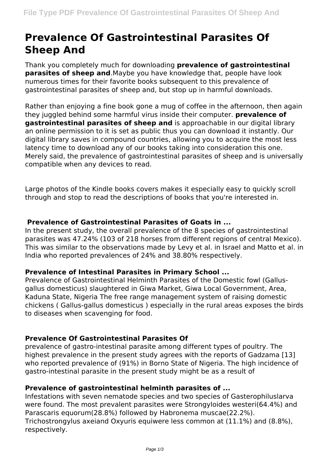# **Prevalence Of Gastrointestinal Parasites Of Sheep And**

Thank you completely much for downloading **prevalence of gastrointestinal parasites of sheep and**.Maybe you have knowledge that, people have look numerous times for their favorite books subsequent to this prevalence of gastrointestinal parasites of sheep and, but stop up in harmful downloads.

Rather than enjoying a fine book gone a mug of coffee in the afternoon, then again they juggled behind some harmful virus inside their computer. **prevalence of gastrointestinal parasites of sheep and** is approachable in our digital library an online permission to it is set as public thus you can download it instantly. Our digital library saves in compound countries, allowing you to acquire the most less latency time to download any of our books taking into consideration this one. Merely said, the prevalence of gastrointestinal parasites of sheep and is universally compatible when any devices to read.

Large photos of the Kindle books covers makes it especially easy to quickly scroll through and stop to read the descriptions of books that you're interested in.

# **Prevalence of Gastrointestinal Parasites of Goats in ...**

In the present study, the overall prevalence of the 8 species of gastrointestinal parasites was 47.24% (103 of 218 horses from different regions of central Mexico). This was similar to the observations made by Levy et al. in Israel and Matto et al. in India who reported prevalences of 24% and 38.80% respectively.

#### **Prevalence of Intestinal Parasites in Primary School ...**

Prevalence of Gastrointestinal Helminth Parasites of the Domestic fowl (Gallusgallus domesticus) slaughtered in Giwa Market, Giwa Local Government, Area, Kaduna State, Nigeria The free range management system of raising domestic chickens ( Gallus-gallus domesticus ) especially in the rural areas exposes the birds to diseases when scavenging for food.

# **Prevalence Of Gastrointestinal Parasites Of**

prevalence of gastro-intestinal parasite among different types of poultry. The highest prevalence in the present study agrees with the reports of Gadzama [13] who reported prevalence of (91%) in Borno State of Nigeria. The high incidence of gastro-intestinal parasite in the present study might be as a result of

#### **Prevalence of gastrointestinal helminth parasites of ...**

Infestations with seven nematode species and two species of Gasterophiluslarva were found. The most prevalent parasites were Strongyloides westeri(64.4%) and Parascaris equorum(28.8%) followed by Habronema muscae(22.2%). Trichostrongylus axeiand Oxyuris equiwere less common at (11.1%) and (8.8%), respectively.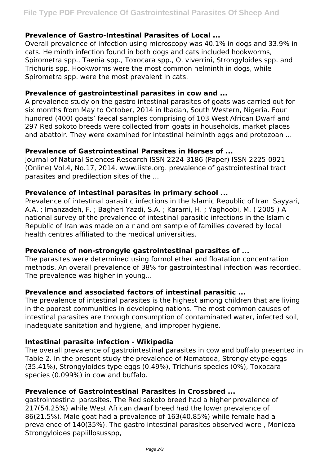# **Prevalence of Gastro-Intestinal Parasites of Local ...**

Overall prevalence of infection using microscopy was 40.1% in dogs and 33.9% in cats. Helminth infection found in both dogs and cats included hookworms, Spirometra spp., Taenia spp., Toxocara spp., O. viverrini, Strongyloides spp. and Trichuris spp. Hookworms were the most common helminth in dogs, while Spirometra spp. were the most prevalent in cats.

#### **Prevalence of gastrointestinal parasites in cow and ...**

A prevalence study on the gastro intestinal parasites of goats was carried out for six months from May to October, 2014 in Ibadan, South Western, Nigeria. Four hundred (400) goats' faecal samples comprising of 103 West African Dwarf and 297 Red sokoto breeds were collected from goats in households, market places and abattoir. They were examined for intestinal helminth eggs and protozoan ...

## **Prevalence of Gastrointestinal Parasites in Horses of ...**

Journal of Natural Sciences Research ISSN 2224-3186 (Paper) ISSN 2225-0921 (Online) Vol.4, No.17, 2014. www.iiste.org. prevalence of gastrointestinal tract parasites and predilection sites of the ...

#### **Prevalence of intestinal parasites in primary school ...**

Prevalence of intestinal parasitic infections in the Islamic Republic of Iran Sayyari, A.A. ; Imanzadeh, F. ; Bagheri Yazdi, S.A. ; Karami, H. ; Yaghoobi, M. ( 2005 ) A national survey of the prevalence of intestinal parasitic infections in the Islamic Republic of Iran was made on a r and om sample of families covered by local health centres affiliated to the medical universities.

#### **Prevalence of non-strongyle gastrointestinal parasites of ...**

The parasites were determined using formol ether and floatation concentration methods. An overall prevalence of 38% for gastrointestinal infection was recorded. The prevalence was higher in young...

#### **Prevalence and associated factors of intestinal parasitic ...**

The prevalence of intestinal parasites is the highest among children that are living in the poorest communities in developing nations. The most common causes of intestinal parasites are through consumption of contaminated water, infected soil, inadequate sanitation and hygiene, and improper hygiene.

#### **Intestinal parasite infection - Wikipedia**

The overall prevalence of gastrointestinal parasites in cow and buffalo presented in Table 2. In the present study the prevalence of Nematoda, Strongyletype eggs (35.41%), Strongyloides type eggs (0.49%), Trichuris species (0%), Toxocara species (0.099%) in cow and buffalo.

# **Prevalence of Gastrointestinal Parasites in Crossbred ...**

gastrointestinal parasites. The Red sokoto breed had a higher prevalence of 217(54.25%) while West African dwarf breed had the lower prevalence of 86(21.5%). Male goat had a prevalence of 163(40.85%) while female had a prevalence of 140(35%). The gastro intestinal parasites observed were , Monieza Strongyloides papiillosusspp,